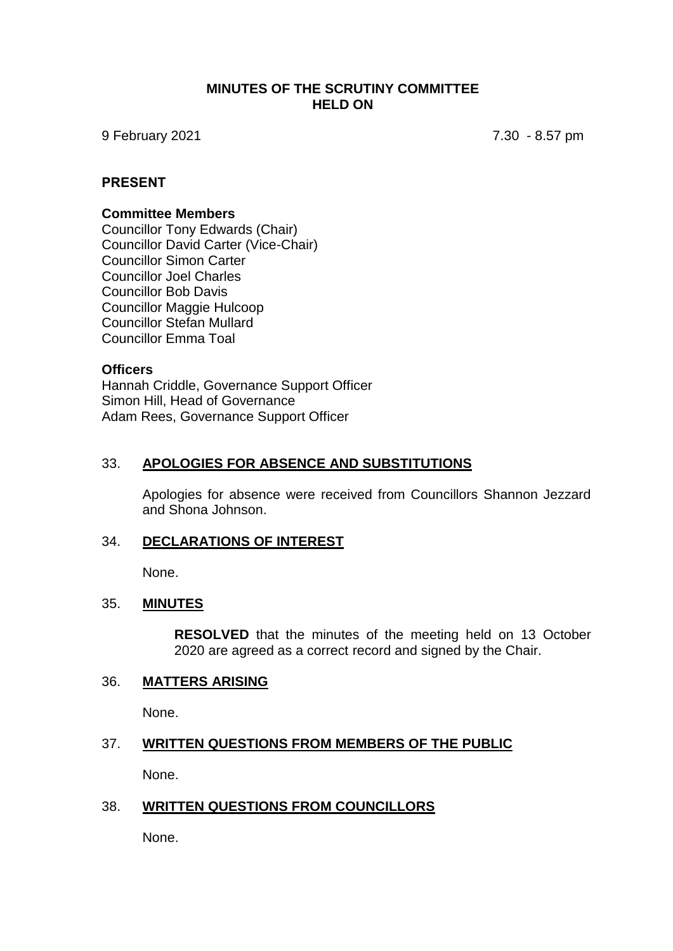### **MINUTES OF THE SCRUTINY COMMITTEE HELD ON**

9 February 2021 7.30 - 8.57 pm

### **PRESENT**

#### **Committee Members**

Councillor Tony Edwards (Chair) Councillor David Carter (Vice-Chair) Councillor Simon Carter Councillor Joel Charles Councillor Bob Davis Councillor Maggie Hulcoop Councillor Stefan Mullard Councillor Emma Toal

#### **Officers**

Hannah Criddle, Governance Support Officer Simon Hill, Head of Governance Adam Rees, Governance Support Officer

#### 33. **APOLOGIES FOR ABSENCE AND SUBSTITUTIONS**

Apologies for absence were received from Councillors Shannon Jezzard and Shona Johnson.

#### 34. **DECLARATIONS OF INTEREST**

None.

#### 35. **MINUTES**

**RESOLVED** that the minutes of the meeting held on 13 October 2020 are agreed as a correct record and signed by the Chair.

#### 36. **MATTERS ARISING**

None.

#### 37. **WRITTEN QUESTIONS FROM MEMBERS OF THE PUBLIC**

None.

#### 38. **WRITTEN QUESTIONS FROM COUNCILLORS**

None.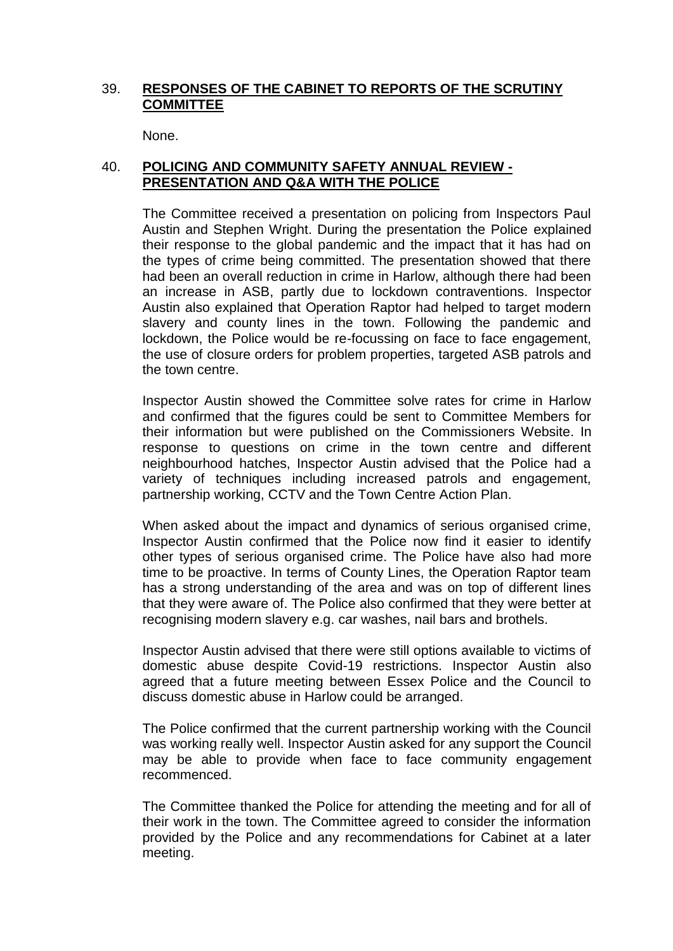## 39. **RESPONSES OF THE CABINET TO REPORTS OF THE SCRUTINY COMMITTEE**

None.

# 40. **POLICING AND COMMUNITY SAFETY ANNUAL REVIEW - PRESENTATION AND Q&A WITH THE POLICE**

The Committee received a presentation on policing from Inspectors Paul Austin and Stephen Wright. During the presentation the Police explained their response to the global pandemic and the impact that it has had on the types of crime being committed. The presentation showed that there had been an overall reduction in crime in Harlow, although there had been an increase in ASB, partly due to lockdown contraventions. Inspector Austin also explained that Operation Raptor had helped to target modern slavery and county lines in the town. Following the pandemic and lockdown, the Police would be re-focussing on face to face engagement, the use of closure orders for problem properties, targeted ASB patrols and the town centre.

Inspector Austin showed the Committee solve rates for crime in Harlow and confirmed that the figures could be sent to Committee Members for their information but were published on the Commissioners Website. In response to questions on crime in the town centre and different neighbourhood hatches, Inspector Austin advised that the Police had a variety of techniques including increased patrols and engagement, partnership working, CCTV and the Town Centre Action Plan.

When asked about the impact and dynamics of serious organised crime, Inspector Austin confirmed that the Police now find it easier to identify other types of serious organised crime. The Police have also had more time to be proactive. In terms of County Lines, the Operation Raptor team has a strong understanding of the area and was on top of different lines that they were aware of. The Police also confirmed that they were better at recognising modern slavery e.g. car washes, nail bars and brothels.

Inspector Austin advised that there were still options available to victims of domestic abuse despite Covid-19 restrictions. Inspector Austin also agreed that a future meeting between Essex Police and the Council to discuss domestic abuse in Harlow could be arranged.

The Police confirmed that the current partnership working with the Council was working really well. Inspector Austin asked for any support the Council may be able to provide when face to face community engagement recommenced.

The Committee thanked the Police for attending the meeting and for all of their work in the town. The Committee agreed to consider the information provided by the Police and any recommendations for Cabinet at a later meeting.